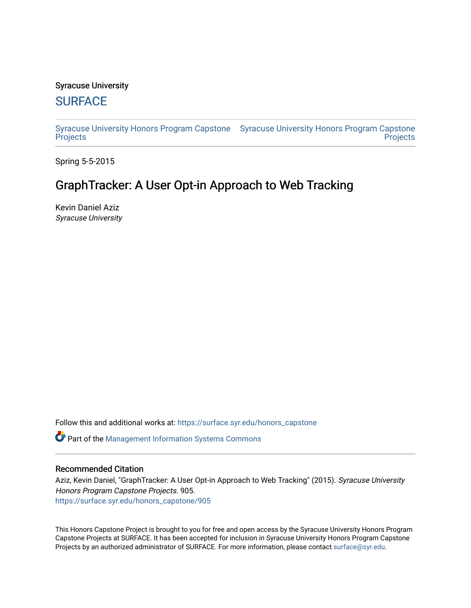## Syracuse University

# **[SURFACE](https://surface.syr.edu/)**

[Syracuse University Honors Program Capstone](https://surface.syr.edu/honors_capstone)  [Syracuse University Honors Program Capstone](https://surface.syr.edu/honors_capstones)  **[Projects](https://surface.syr.edu/honors_capstone) Projects** 

Spring 5-5-2015

# GraphTracker: A User Opt-in Approach to Web Tracking

Kevin Daniel Aziz Syracuse University

Follow this and additional works at: [https://surface.syr.edu/honors\\_capstone](https://surface.syr.edu/honors_capstone?utm_source=surface.syr.edu%2Fhonors_capstone%2F905&utm_medium=PDF&utm_campaign=PDFCoverPages) 

**C** Part of the Management Information Systems Commons

#### Recommended Citation

Aziz, Kevin Daniel, "GraphTracker: A User Opt-in Approach to Web Tracking" (2015). Syracuse University Honors Program Capstone Projects. 905. [https://surface.syr.edu/honors\\_capstone/905](https://surface.syr.edu/honors_capstone/905?utm_source=surface.syr.edu%2Fhonors_capstone%2F905&utm_medium=PDF&utm_campaign=PDFCoverPages) 

This Honors Capstone Project is brought to you for free and open access by the Syracuse University Honors Program Capstone Projects at SURFACE. It has been accepted for inclusion in Syracuse University Honors Program Capstone Projects by an authorized administrator of SURFACE. For more information, please contact [surface@syr.edu.](mailto:surface@syr.edu)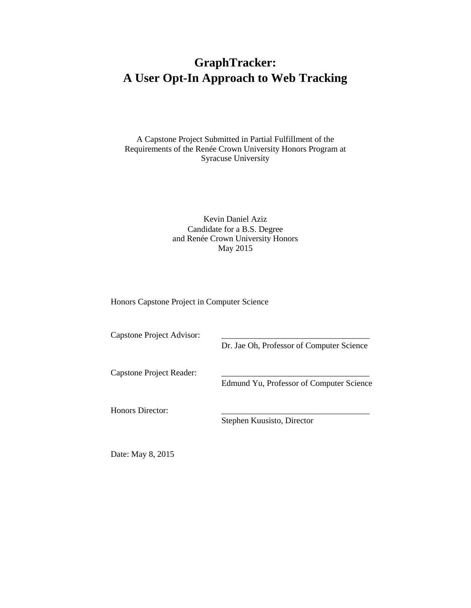# **GraphTracker: A User Opt-In Approach to Web Tracking**

A Capstone Project Submitted in Partial Fulfillment of the Requirements of the Renée Crown University Honors Program at Syracuse University

#### Kevin Daniel Aziz Candidate for a B.S. Degree and Renée Crown University Honors May 2015

Honors Capstone Project in Computer Science

Capstone Project Advisor:

Dr. Jae Oh, Professor of Computer Science

Capstone Project Reader:

Edmund Yu, Professor of Computer Science

Honors Director:

Stephen Kuusisto, Director

Date: May 8, 2015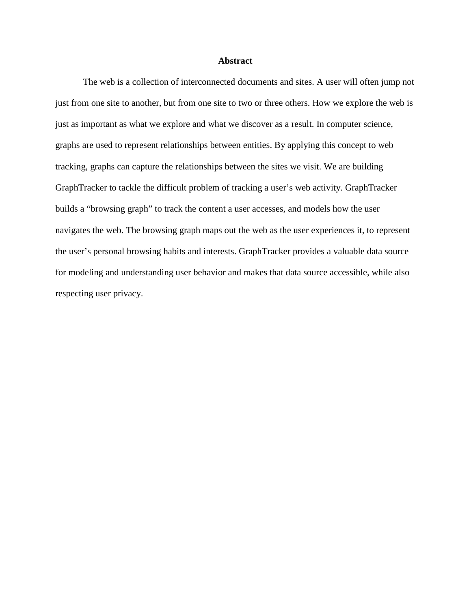#### **Abstract**

The web is a collection of interconnected documents and sites. A user will often jump not just from one site to another, but from one site to two or three others. How we explore the web is just as important as what we explore and what we discover as a result. In computer science, graphs are used to represent relationships between entities. By applying this concept to web tracking, graphs can capture the relationships between the sites we visit. We are building GraphTracker to tackle the difficult problem of tracking a user's web activity. GraphTracker builds a "browsing graph" to track the content a user accesses, and models how the user navigates the web. The browsing graph maps out the web as the user experiences it, to represent the user's personal browsing habits and interests. GraphTracker provides a valuable data source for modeling and understanding user behavior and makes that data source accessible, while also respecting user privacy.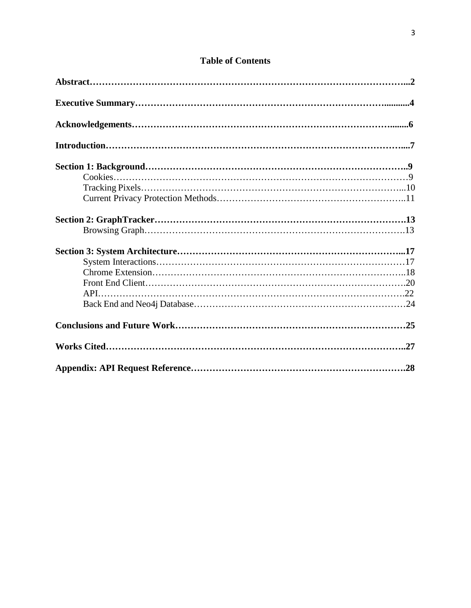# **Table of Contents**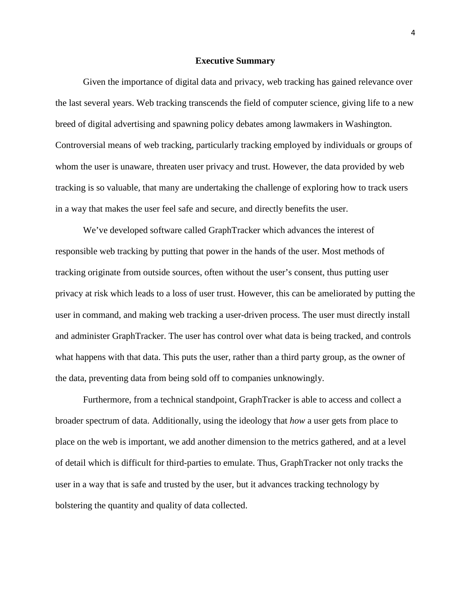#### **Executive Summary**

Given the importance of digital data and privacy, web tracking has gained relevance over the last several years. Web tracking transcends the field of computer science, giving life to a new breed of digital advertising and spawning policy debates among lawmakers in Washington. Controversial means of web tracking, particularly tracking employed by individuals or groups of whom the user is unaware, threaten user privacy and trust. However, the data provided by web tracking is so valuable, that many are undertaking the challenge of exploring how to track users in a way that makes the user feel safe and secure, and directly benefits the user.

We've developed software called GraphTracker which advances the interest of responsible web tracking by putting that power in the hands of the user. Most methods of tracking originate from outside sources, often without the user's consent, thus putting user privacy at risk which leads to a loss of user trust. However, this can be ameliorated by putting the user in command, and making web tracking a user-driven process. The user must directly install and administer GraphTracker. The user has control over what data is being tracked, and controls what happens with that data. This puts the user, rather than a third party group, as the owner of the data, preventing data from being sold off to companies unknowingly.

Furthermore, from a technical standpoint, GraphTracker is able to access and collect a broader spectrum of data. Additionally, using the ideology that *how* a user gets from place to place on the web is important, we add another dimension to the metrics gathered, and at a level of detail which is difficult for third-parties to emulate. Thus, GraphTracker not only tracks the user in a way that is safe and trusted by the user, but it advances tracking technology by bolstering the quantity and quality of data collected.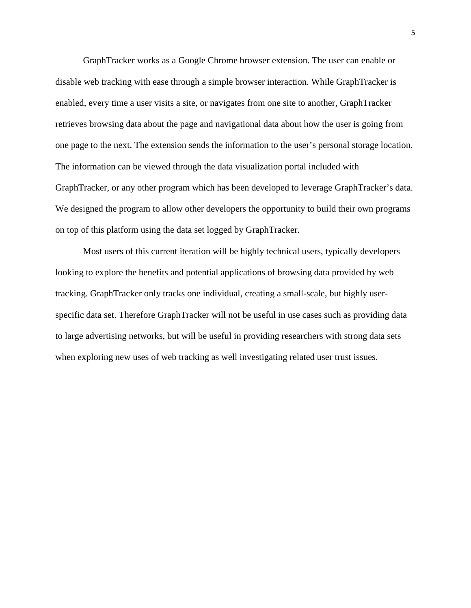GraphTracker works as a Google Chrome browser extension. The user can enable or disable web tracking with ease through a simple browser interaction. While GraphTracker is enabled, every time a user visits a site, or navigates from one site to another, GraphTracker retrieves browsing data about the page and navigational data about how the user is going from one page to the next. The extension sends the information to the user's personal storage location. The information can be viewed through the data visualization portal included with GraphTracker, or any other program which has been developed to leverage GraphTracker's data. We designed the program to allow other developers the opportunity to build their own programs on top of this platform using the data set logged by GraphTracker.

Most users of this current iteration will be highly technical users, typically developers looking to explore the benefits and potential applications of browsing data provided by web tracking. GraphTracker only tracks one individual, creating a small-scale, but highly userspecific data set. Therefore GraphTracker will not be useful in use cases such as providing data to large advertising networks, but will be useful in providing researchers with strong data sets when exploring new uses of web tracking as well investigating related user trust issues.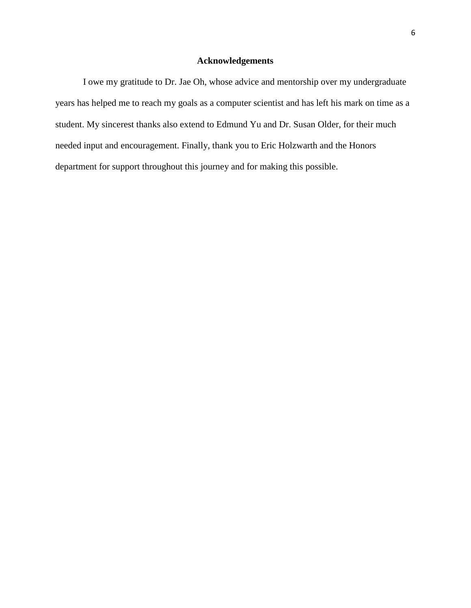# **Acknowledgements**

I owe my gratitude to Dr. Jae Oh, whose advice and mentorship over my undergraduate years has helped me to reach my goals as a computer scientist and has left his mark on time as a student. My sincerest thanks also extend to Edmund Yu and Dr. Susan Older, for their much needed input and encouragement. Finally, thank you to Eric Holzwarth and the Honors department for support throughout this journey and for making this possible.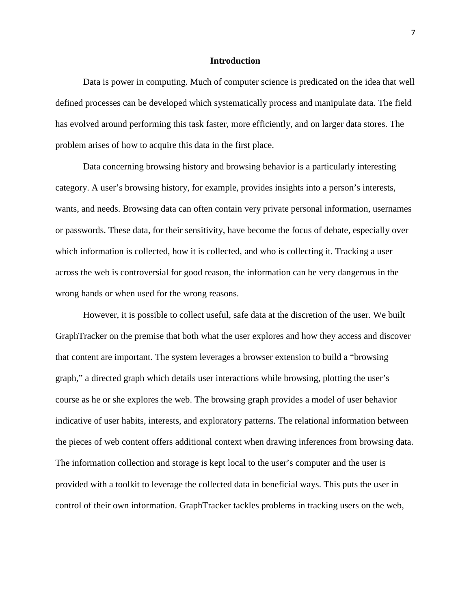#### **Introduction**

Data is power in computing. Much of computer science is predicated on the idea that well defined processes can be developed which systematically process and manipulate data. The field has evolved around performing this task faster, more efficiently, and on larger data stores. The problem arises of how to acquire this data in the first place.

Data concerning browsing history and browsing behavior is a particularly interesting category. A user's browsing history, for example, provides insights into a person's interests, wants, and needs. Browsing data can often contain very private personal information, usernames or passwords. These data, for their sensitivity, have become the focus of debate, especially over which information is collected, how it is collected, and who is collecting it. Tracking a user across the web is controversial for good reason, the information can be very dangerous in the wrong hands or when used for the wrong reasons.

However, it is possible to collect useful, safe data at the discretion of the user. We built GraphTracker on the premise that both what the user explores and how they access and discover that content are important. The system leverages a browser extension to build a "browsing graph," a directed graph which details user interactions while browsing, plotting the user's course as he or she explores the web. The browsing graph provides a model of user behavior indicative of user habits, interests, and exploratory patterns. The relational information between the pieces of web content offers additional context when drawing inferences from browsing data. The information collection and storage is kept local to the user's computer and the user is provided with a toolkit to leverage the collected data in beneficial ways. This puts the user in control of their own information. GraphTracker tackles problems in tracking users on the web,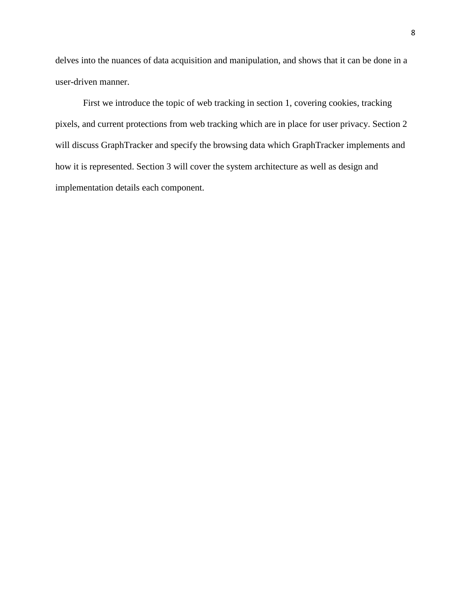delves into the nuances of data acquisition and manipulation, and shows that it can be done in a user-driven manner.

First we introduce the topic of web tracking in section 1, covering cookies, tracking pixels, and current protections from web tracking which are in place for user privacy. Section 2 will discuss GraphTracker and specify the browsing data which GraphTracker implements and how it is represented. Section 3 will cover the system architecture as well as design and implementation details each component.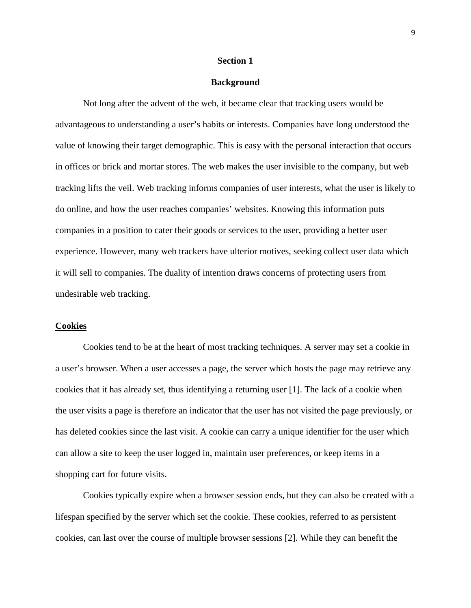#### **Section 1**

#### **Background**

Not long after the advent of the web, it became clear that tracking users would be advantageous to understanding a user's habits or interests. Companies have long understood the value of knowing their target demographic. This is easy with the personal interaction that occurs in offices or brick and mortar stores. The web makes the user invisible to the company, but web tracking lifts the veil. Web tracking informs companies of user interests, what the user is likely to do online, and how the user reaches companies' websites. Knowing this information puts companies in a position to cater their goods or services to the user, providing a better user experience. However, many web trackers have ulterior motives, seeking collect user data which it will sell to companies. The duality of intention draws concerns of protecting users from undesirable web tracking.

#### **Cookies**

Cookies tend to be at the heart of most tracking techniques. A server may set a cookie in a user's browser. When a user accesses a page, the server which hosts the page may retrieve any cookies that it has already set, thus identifying a returning user [1]. The lack of a cookie when the user visits a page is therefore an indicator that the user has not visited the page previously, or has deleted cookies since the last visit. A cookie can carry a unique identifier for the user which can allow a site to keep the user logged in, maintain user preferences, or keep items in a shopping cart for future visits.

Cookies typically expire when a browser session ends, but they can also be created with a lifespan specified by the server which set the cookie. These cookies, referred to as persistent cookies, can last over the course of multiple browser sessions [2]. While they can benefit the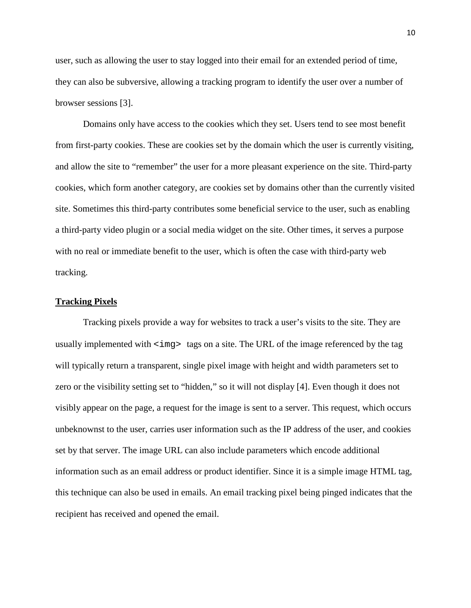user, such as allowing the user to stay logged into their email for an extended period of time, they can also be subversive, allowing a tracking program to identify the user over a number of browser sessions [3].

Domains only have access to the cookies which they set. Users tend to see most benefit from first-party cookies. These are cookies set by the domain which the user is currently visiting, and allow the site to "remember" the user for a more pleasant experience on the site. Third-party cookies, which form another category, are cookies set by domains other than the currently visited site. Sometimes this third-party contributes some beneficial service to the user, such as enabling a third-party video plugin or a social media widget on the site. Other times, it serves a purpose with no real or immediate benefit to the user, which is often the case with third-party web tracking.

#### **Tracking Pixels**

Tracking pixels provide a way for websites to track a user's visits to the site. They are usually implemented with  $\langle \text{img} \rangle$  tags on a site. The URL of the image referenced by the tag will typically return a transparent, single pixel image with height and width parameters set to zero or the visibility setting set to "hidden," so it will not display [4]. Even though it does not visibly appear on the page, a request for the image is sent to a server. This request, which occurs unbeknownst to the user, carries user information such as the IP address of the user, and cookies set by that server. The image URL can also include parameters which encode additional information such as an email address or product identifier. Since it is a simple image HTML tag, this technique can also be used in emails. An email tracking pixel being pinged indicates that the recipient has received and opened the email.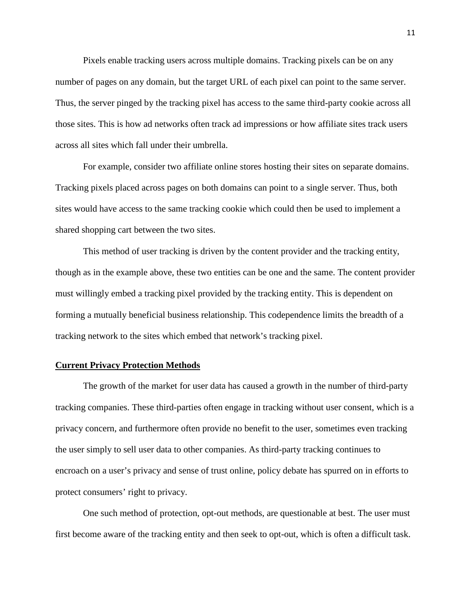Pixels enable tracking users across multiple domains. Tracking pixels can be on any number of pages on any domain, but the target URL of each pixel can point to the same server. Thus, the server pinged by the tracking pixel has access to the same third-party cookie across all those sites. This is how ad networks often track ad impressions or how affiliate sites track users across all sites which fall under their umbrella.

For example, consider two affiliate online stores hosting their sites on separate domains. Tracking pixels placed across pages on both domains can point to a single server. Thus, both sites would have access to the same tracking cookie which could then be used to implement a shared shopping cart between the two sites.

This method of user tracking is driven by the content provider and the tracking entity, though as in the example above, these two entities can be one and the same. The content provider must willingly embed a tracking pixel provided by the tracking entity. This is dependent on forming a mutually beneficial business relationship. This codependence limits the breadth of a tracking network to the sites which embed that network's tracking pixel.

#### **Current Privacy Protection Methods**

The growth of the market for user data has caused a growth in the number of third-party tracking companies. These third-parties often engage in tracking without user consent, which is a privacy concern, and furthermore often provide no benefit to the user, sometimes even tracking the user simply to sell user data to other companies. As third-party tracking continues to encroach on a user's privacy and sense of trust online, policy debate has spurred on in efforts to protect consumers' right to privacy.

One such method of protection, opt-out methods, are questionable at best. The user must first become aware of the tracking entity and then seek to opt-out, which is often a difficult task.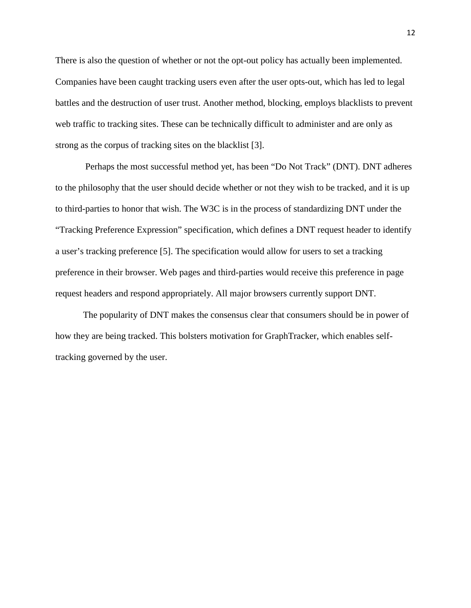There is also the question of whether or not the opt-out policy has actually been implemented. Companies have been caught tracking users even after the user opts-out, which has led to legal battles and the destruction of user trust. Another method, blocking, employs blacklists to prevent web traffic to tracking sites. These can be technically difficult to administer and are only as strong as the corpus of tracking sites on the blacklist [3].

Perhaps the most successful method yet, has been "Do Not Track" (DNT). DNT adheres to the philosophy that the user should decide whether or not they wish to be tracked, and it is up to third-parties to honor that wish. The W3C is in the process of standardizing DNT under the "Tracking Preference Expression" specification, which defines a DNT request header to identify a user's tracking preference [5]. The specification would allow for users to set a tracking preference in their browser. Web pages and third-parties would receive this preference in page request headers and respond appropriately. All major browsers currently support DNT.

The popularity of DNT makes the consensus clear that consumers should be in power of how they are being tracked. This bolsters motivation for GraphTracker, which enables selftracking governed by the user.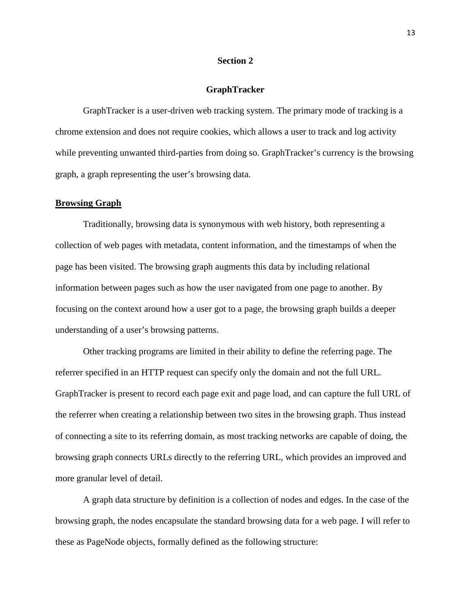#### **Section 2**

#### **GraphTracker**

GraphTracker is a user-driven web tracking system. The primary mode of tracking is a chrome extension and does not require cookies, which allows a user to track and log activity while preventing unwanted third-parties from doing so. GraphTracker's currency is the browsing graph, a graph representing the user's browsing data.

#### **Browsing Graph**

Traditionally, browsing data is synonymous with web history, both representing a collection of web pages with metadata, content information, and the timestamps of when the page has been visited. The browsing graph augments this data by including relational information between pages such as how the user navigated from one page to another. By focusing on the context around how a user got to a page, the browsing graph builds a deeper understanding of a user's browsing patterns.

Other tracking programs are limited in their ability to define the referring page. The referrer specified in an HTTP request can specify only the domain and not the full URL. GraphTracker is present to record each page exit and page load, and can capture the full URL of the referrer when creating a relationship between two sites in the browsing graph. Thus instead of connecting a site to its referring domain, as most tracking networks are capable of doing, the browsing graph connects URLs directly to the referring URL, which provides an improved and more granular level of detail.

A graph data structure by definition is a collection of nodes and edges. In the case of the browsing graph, the nodes encapsulate the standard browsing data for a web page. I will refer to these as PageNode objects, formally defined as the following structure: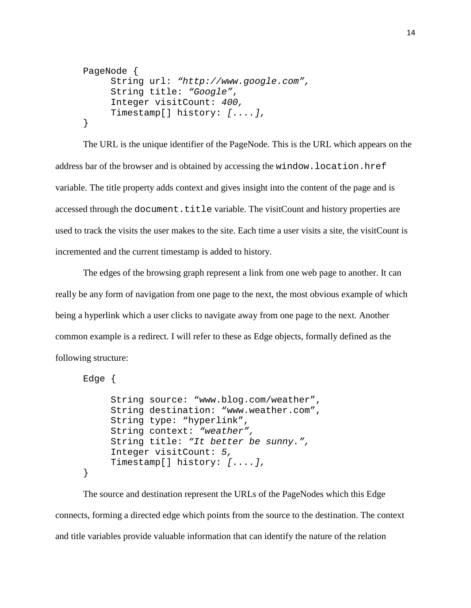```
PageNode {
     String url: "http://www.google.com",
     String title: "Google",
     Integer visitCount: 400,
     Timestamp[] history: [....],
}
```
The URL is the unique identifier of the PageNode. This is the URL which appears on the address bar of the browser and is obtained by accessing the window.location.href variable. The title property adds context and gives insight into the content of the page and is accessed through the document.title variable. The visitCount and history properties are used to track the visits the user makes to the site. Each time a user visits a site, the visitCount is incremented and the current timestamp is added to history.

The edges of the browsing graph represent a link from one web page to another. It can really be any form of navigation from one page to the next, the most obvious example of which being a hyperlink which a user clicks to navigate away from one page to the next. Another common example is a redirect. I will refer to these as Edge objects, formally defined as the following structure:

```
Edge {
     String source: "www.blog.com/weather",
     String destination: "www.weather.com",
     String type: "hyperlink",
     String context: "weather",
     String title: "It better be sunny.",
     Integer visitCount: 5,
     Timestamp[] history: [....],
}
```
The source and destination represent the URLs of the PageNodes which this Edge connects, forming a directed edge which points from the source to the destination. The context and title variables provide valuable information that can identify the nature of the relation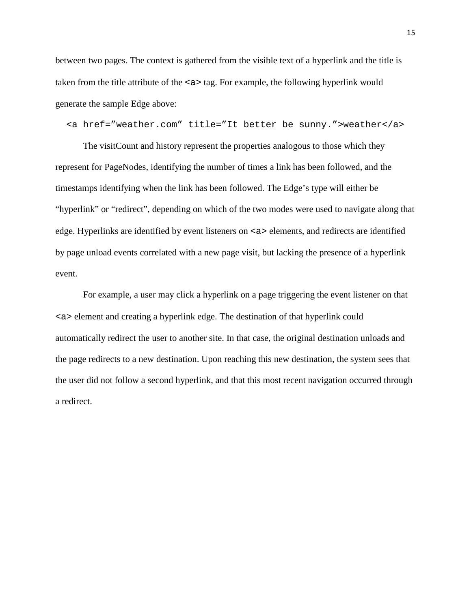between two pages. The context is gathered from the visible text of a hyperlink and the title is taken from the title attribute of the <a> tag. For example, the following hyperlink would generate the sample Edge above:

<a href="weather.com" title="It better be sunny.">weather</a>

The visitCount and history represent the properties analogous to those which they represent for PageNodes, identifying the number of times a link has been followed, and the timestamps identifying when the link has been followed. The Edge's type will either be "hyperlink" or "redirect", depending on which of the two modes were used to navigate along that edge. Hyperlinks are identified by event listeners on <a> elements, and redirects are identified by page unload events correlated with a new page visit, but lacking the presence of a hyperlink event.

For example, a user may click a hyperlink on a page triggering the event listener on that <a> element and creating a hyperlink edge. The destination of that hyperlink could automatically redirect the user to another site. In that case, the original destination unloads and the page redirects to a new destination. Upon reaching this new destination, the system sees that the user did not follow a second hyperlink, and that this most recent navigation occurred through a redirect.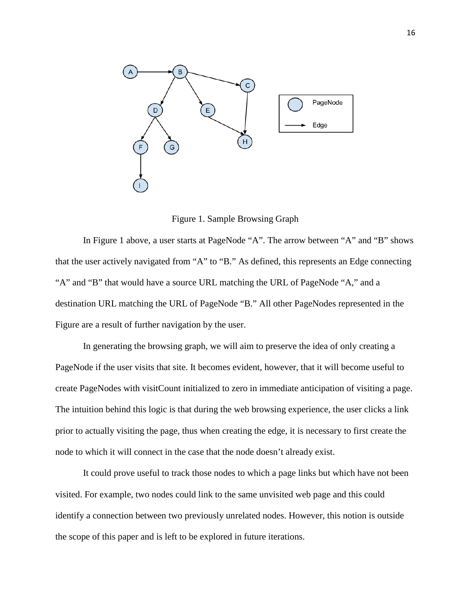

Figure 1. Sample Browsing Graph

In Figure 1 above, a user starts at PageNode "A". The arrow between "A" and "B" shows that the user actively navigated from "A" to "B." As defined, this represents an Edge connecting "A" and "B" that would have a source URL matching the URL of PageNode "A," and a destination URL matching the URL of PageNode "B." All other PageNodes represented in the Figure are a result of further navigation by the user.

In generating the browsing graph, we will aim to preserve the idea of only creating a PageNode if the user visits that site. It becomes evident, however, that it will become useful to create PageNodes with visitCount initialized to zero in immediate anticipation of visiting a page. The intuition behind this logic is that during the web browsing experience, the user clicks a link prior to actually visiting the page, thus when creating the edge, it is necessary to first create the node to which it will connect in the case that the node doesn't already exist.

It could prove useful to track those nodes to which a page links but which have not been visited. For example, two nodes could link to the same unvisited web page and this could identify a connection between two previously unrelated nodes. However, this notion is outside the scope of this paper and is left to be explored in future iterations.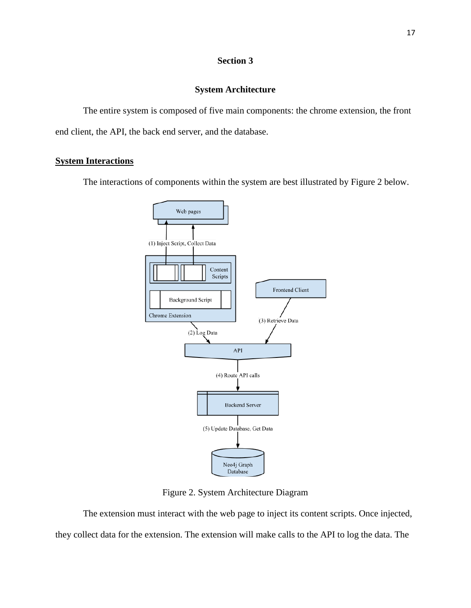# **Section 3**

## **System Architecture**

The entire system is composed of five main components: the chrome extension, the front end client, the API, the back end server, and the database.

## **System Interactions**

The interactions of components within the system are best illustrated by Figure 2 below.



Figure 2. System Architecture Diagram

The extension must interact with the web page to inject its content scripts. Once injected, they collect data for the extension. The extension will make calls to the API to log the data. The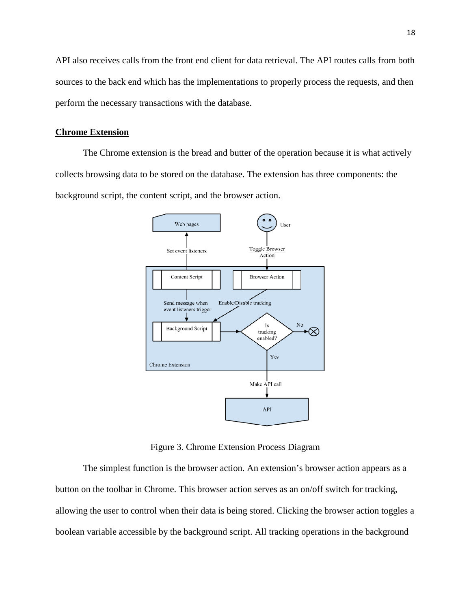API also receives calls from the front end client for data retrieval. The API routes calls from both sources to the back end which has the implementations to properly process the requests, and then perform the necessary transactions with the database.

#### **Chrome Extension**

The Chrome extension is the bread and butter of the operation because it is what actively collects browsing data to be stored on the database. The extension has three components: the background script, the content script, and the browser action.



Figure 3. Chrome Extension Process Diagram

The simplest function is the browser action. An extension's browser action appears as a button on the toolbar in Chrome. This browser action serves as an on/off switch for tracking, allowing the user to control when their data is being stored. Clicking the browser action toggles a boolean variable accessible by the background script. All tracking operations in the background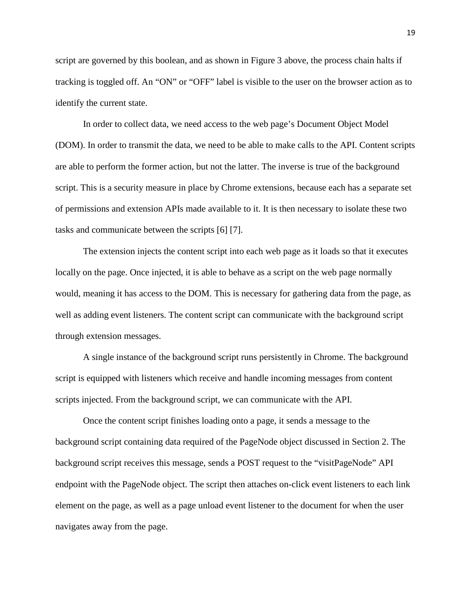script are governed by this boolean, and as shown in Figure 3 above, the process chain halts if tracking is toggled off. An "ON" or "OFF" label is visible to the user on the browser action as to identify the current state.

In order to collect data, we need access to the web page's Document Object Model (DOM). In order to transmit the data, we need to be able to make calls to the API. Content scripts are able to perform the former action, but not the latter. The inverse is true of the background script. This is a security measure in place by Chrome extensions, because each has a separate set of permissions and extension APIs made available to it. It is then necessary to isolate these two tasks and communicate between the scripts [6] [7].

The extension injects the content script into each web page as it loads so that it executes locally on the page. Once injected, it is able to behave as a script on the web page normally would, meaning it has access to the DOM. This is necessary for gathering data from the page, as well as adding event listeners. The content script can communicate with the background script through extension messages.

A single instance of the background script runs persistently in Chrome. The background script is equipped with listeners which receive and handle incoming messages from content scripts injected. From the background script, we can communicate with the API.

Once the content script finishes loading onto a page, it sends a message to the background script containing data required of the PageNode object discussed in Section 2. The background script receives this message, sends a POST request to the "visitPageNode" API endpoint with the PageNode object. The script then attaches on-click event listeners to each link element on the page, as well as a page unload event listener to the document for when the user navigates away from the page.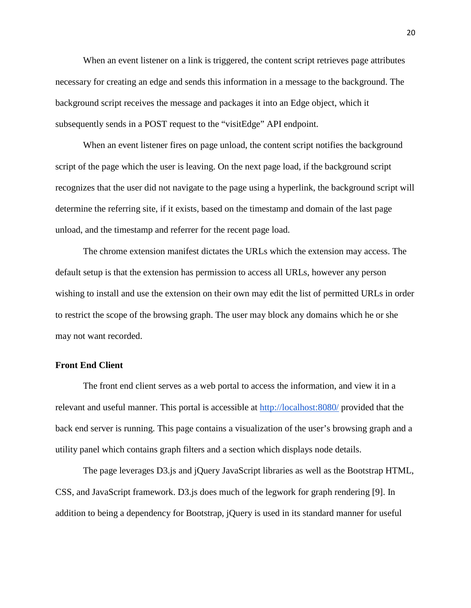When an event listener on a link is triggered, the content script retrieves page attributes necessary for creating an edge and sends this information in a message to the background. The background script receives the message and packages it into an Edge object, which it subsequently sends in a POST request to the "visitEdge" API endpoint.

When an event listener fires on page unload, the content script notifies the background script of the page which the user is leaving. On the next page load, if the background script recognizes that the user did not navigate to the page using a hyperlink, the background script will determine the referring site, if it exists, based on the timestamp and domain of the last page unload, and the timestamp and referrer for the recent page load.

The chrome extension manifest dictates the URLs which the extension may access. The default setup is that the extension has permission to access all URLs, however any person wishing to install and use the extension on their own may edit the list of permitted URLs in order to restrict the scope of the browsing graph. The user may block any domains which he or she may not want recorded.

#### **Front End Client**

The front end client serves as a web portal to access the information, and view it in a relevant and useful manner. This portal is accessible at<http://localhost:8080/> provided that the back end server is running. This page contains a visualization of the user's browsing graph and a utility panel which contains graph filters and a section which displays node details.

The page leverages D3.js and jQuery JavaScript libraries as well as the Bootstrap HTML, CSS, and JavaScript framework. D3.js does much of the legwork for graph rendering [9]. In addition to being a dependency for Bootstrap, jQuery is used in its standard manner for useful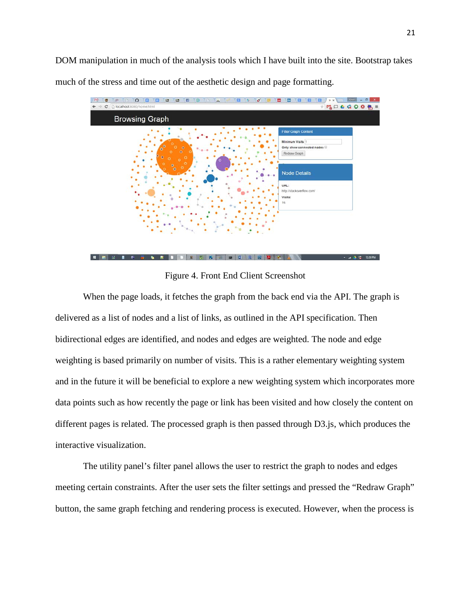DOM manipulation in much of the analysis tools which I have built into the site. Bootstrap takes much of the stress and time out of the aesthetic design and page formatting.



Figure 4. Front End Client Screenshot

When the page loads, it fetches the graph from the back end via the API. The graph is delivered as a list of nodes and a list of links, as outlined in the API specification. Then bidirectional edges are identified, and nodes and edges are weighted. The node and edge weighting is based primarily on number of visits. This is a rather elementary weighting system and in the future it will be beneficial to explore a new weighting system which incorporates more data points such as how recently the page or link has been visited and how closely the content on different pages is related. The processed graph is then passed through D3.js, which produces the interactive visualization.

The utility panel's filter panel allows the user to restrict the graph to nodes and edges meeting certain constraints. After the user sets the filter settings and pressed the "Redraw Graph" button, the same graph fetching and rendering process is executed. However, when the process is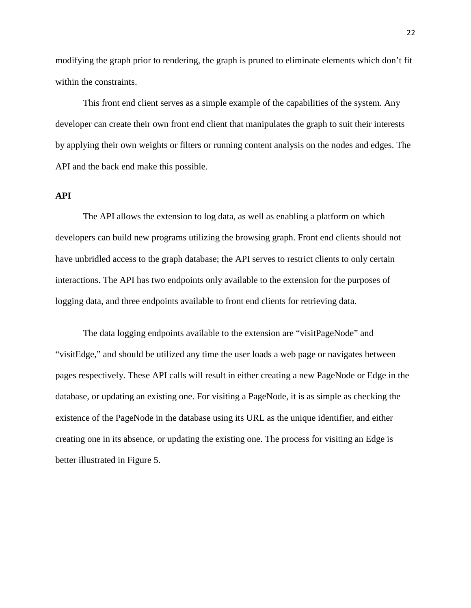modifying the graph prior to rendering, the graph is pruned to eliminate elements which don't fit within the constraints.

This front end client serves as a simple example of the capabilities of the system. Any developer can create their own front end client that manipulates the graph to suit their interests by applying their own weights or filters or running content analysis on the nodes and edges. The API and the back end make this possible.

### **API**

The API allows the extension to log data, as well as enabling a platform on which developers can build new programs utilizing the browsing graph. Front end clients should not have unbridled access to the graph database; the API serves to restrict clients to only certain interactions. The API has two endpoints only available to the extension for the purposes of logging data, and three endpoints available to front end clients for retrieving data.

The data logging endpoints available to the extension are "visitPageNode" and "visitEdge," and should be utilized any time the user loads a web page or navigates between pages respectively. These API calls will result in either creating a new PageNode or Edge in the database, or updating an existing one. For visiting a PageNode, it is as simple as checking the existence of the PageNode in the database using its URL as the unique identifier, and either creating one in its absence, or updating the existing one. The process for visiting an Edge is better illustrated in Figure 5.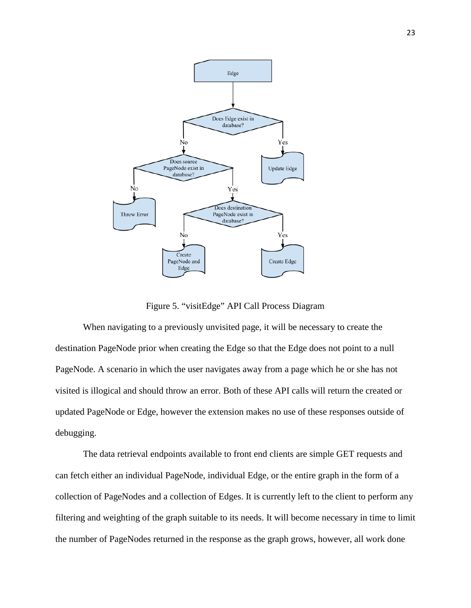

Figure 5. "visitEdge" API Call Process Diagram

When navigating to a previously unvisited page, it will be necessary to create the destination PageNode prior when creating the Edge so that the Edge does not point to a null PageNode. A scenario in which the user navigates away from a page which he or she has not visited is illogical and should throw an error. Both of these API calls will return the created or updated PageNode or Edge, however the extension makes no use of these responses outside of debugging.

The data retrieval endpoints available to front end clients are simple GET requests and can fetch either an individual PageNode, individual Edge, or the entire graph in the form of a collection of PageNodes and a collection of Edges. It is currently left to the client to perform any filtering and weighting of the graph suitable to its needs. It will become necessary in time to limit the number of PageNodes returned in the response as the graph grows, however, all work done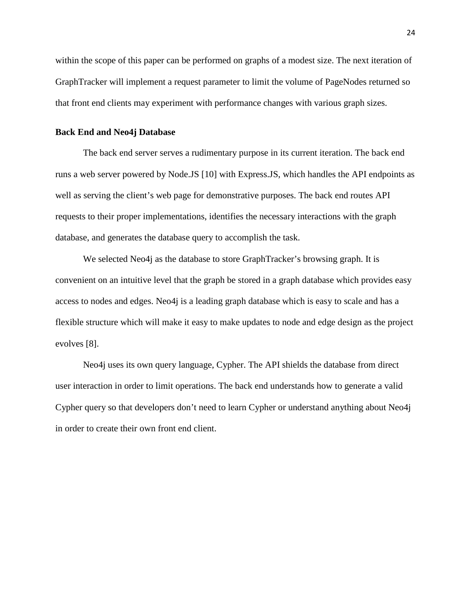within the scope of this paper can be performed on graphs of a modest size. The next iteration of GraphTracker will implement a request parameter to limit the volume of PageNodes returned so that front end clients may experiment with performance changes with various graph sizes.

#### **Back End and Neo4j Database**

The back end server serves a rudimentary purpose in its current iteration. The back end runs a web server powered by Node.JS [10] with Express.JS, which handles the API endpoints as well as serving the client's web page for demonstrative purposes. The back end routes API requests to their proper implementations, identifies the necessary interactions with the graph database, and generates the database query to accomplish the task.

We selected Neo4j as the database to store GraphTracker's browsing graph. It is convenient on an intuitive level that the graph be stored in a graph database which provides easy access to nodes and edges. Neo4j is a leading graph database which is easy to scale and has a flexible structure which will make it easy to make updates to node and edge design as the project evolves [8].

Neo4j uses its own query language, Cypher. The API shields the database from direct user interaction in order to limit operations. The back end understands how to generate a valid Cypher query so that developers don't need to learn Cypher or understand anything about Neo4j in order to create their own front end client.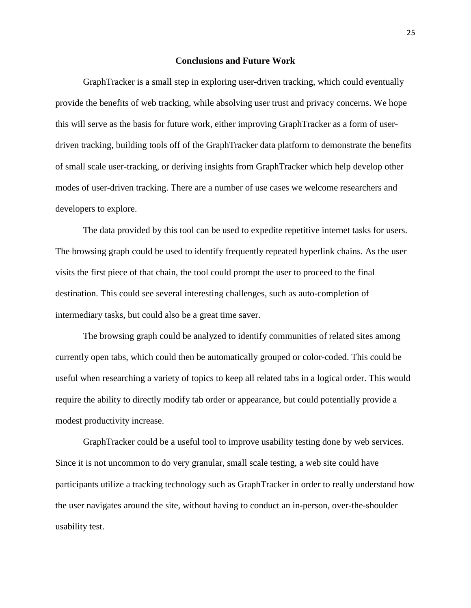#### **Conclusions and Future Work**

GraphTracker is a small step in exploring user-driven tracking, which could eventually provide the benefits of web tracking, while absolving user trust and privacy concerns. We hope this will serve as the basis for future work, either improving GraphTracker as a form of userdriven tracking, building tools off of the GraphTracker data platform to demonstrate the benefits of small scale user-tracking, or deriving insights from GraphTracker which help develop other modes of user-driven tracking. There are a number of use cases we welcome researchers and developers to explore.

The data provided by this tool can be used to expedite repetitive internet tasks for users. The browsing graph could be used to identify frequently repeated hyperlink chains. As the user visits the first piece of that chain, the tool could prompt the user to proceed to the final destination. This could see several interesting challenges, such as auto-completion of intermediary tasks, but could also be a great time saver.

The browsing graph could be analyzed to identify communities of related sites among currently open tabs, which could then be automatically grouped or color-coded. This could be useful when researching a variety of topics to keep all related tabs in a logical order. This would require the ability to directly modify tab order or appearance, but could potentially provide a modest productivity increase.

GraphTracker could be a useful tool to improve usability testing done by web services. Since it is not uncommon to do very granular, small scale testing, a web site could have participants utilize a tracking technology such as GraphTracker in order to really understand how the user navigates around the site, without having to conduct an in-person, over-the-shoulder usability test.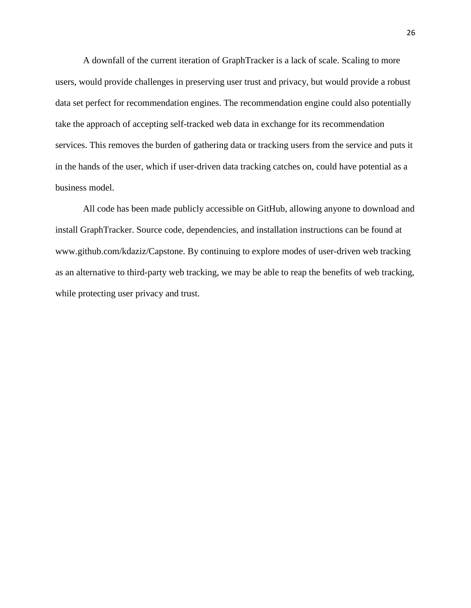A downfall of the current iteration of GraphTracker is a lack of scale. Scaling to more users, would provide challenges in preserving user trust and privacy, but would provide a robust data set perfect for recommendation engines. The recommendation engine could also potentially take the approach of accepting self-tracked web data in exchange for its recommendation services. This removes the burden of gathering data or tracking users from the service and puts it in the hands of the user, which if user-driven data tracking catches on, could have potential as a business model.

All code has been made publicly accessible on GitHub, allowing anyone to download and install GraphTracker. Source code, dependencies, and installation instructions can be found at www.github.com/kdaziz/Capstone. By continuing to explore modes of user-driven web tracking as an alternative to third-party web tracking, we may be able to reap the benefits of web tracking, while protecting user privacy and trust.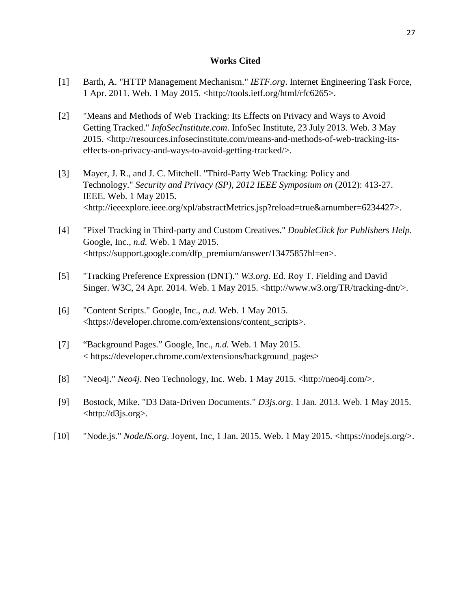#### **Works Cited**

- [1] Barth, A. "HTTP Management Mechanism." *IETF.org*. Internet Engineering Task Force, 1 Apr. 2011. Web. 1 May 2015. <http://tools.ietf.org/html/rfc6265>.
- [2] "Means and Methods of Web Tracking: Its Effects on Privacy and Ways to Avoid Getting Tracked." *InfoSecInstitute.com*. InfoSec Institute, 23 July 2013. Web. 3 May 2015. <http://resources.infosecinstitute.com/means-and-methods-of-web-tracking-itseffects-on-privacy-and-ways-to-avoid-getting-tracked/>.
- [3] Mayer, J. R., and J. C. Mitchell. "Third-Party Web Tracking: Policy and Technology." *Security and Privacy (SP), 2012 IEEE Symposium on* (2012): 413-27. IEEE. Web. 1 May 2015. <http://ieeexplore.ieee.org/xpl/abstractMetrics.jsp?reload=true&arnumber=6234427>.
- [4] "Pixel Tracking in Third-party and Custom Creatives." *DoubleClick for Publishers Help*. Google, Inc., *n.d.* Web. 1 May 2015. <https://support.google.com/dfp\_premium/answer/1347585?hl=en>.
- [5] "Tracking Preference Expression (DNT)." *W3.org*. Ed. Roy T. Fielding and David Singer. W3C, 24 Apr. 2014. Web. 1 May 2015. <http://www.w3.org/TR/tracking-dnt/>.
- [6] "Content Scripts." Google, Inc., *n.d.* Web. 1 May 2015. <https://developer.chrome.com/extensions/content\_scripts>.
- [7] "Background Pages." Google, Inc., *n.d.* Web. 1 May 2015. < https://developer.chrome.com/extensions/background\_pages>
- [8] "Neo4j." *Neo4j*. Neo Technology, Inc. Web. 1 May 2015. <http://neo4j.com/>.
- [9] Bostock, Mike. "D3 Data-Driven Documents." *D3js.org*. 1 Jan. 2013. Web. 1 May 2015. <http://d3js.org>.
- [10] "Node.js." *NodeJS.org*. Joyent, Inc, 1 Jan. 2015. Web. 1 May 2015. <https://nodejs.org/>.